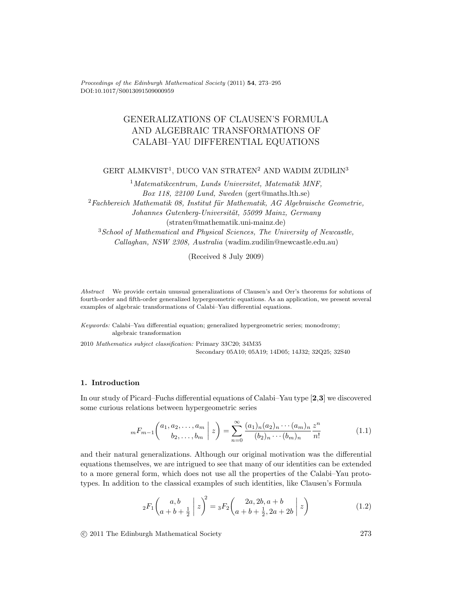Proceedings of the Edinburgh Mathematical Society (2011) **54**, 273–295 DOI:10.1017/S0013091509000959

# GENERALIZATIONS OF CLAUSEN'S FORMULA AND ALGEBRAIC TRANSFORMATIONS OF CALABI–YAU DIFFERENTIAL EQUATIONS

# GERT ALMKVIST<sup>1</sup>, DUCO VAN STRATEN<sup>2</sup> AND WADIM ZUDILIN<sup>3</sup>

<sup>1</sup>Matematikcentrum, Lunds Universitet, Matematik MNF, Box 118, 22100 Lund, Sweden (gert@maths.lth.se)  $2$ Fachbereich Mathematik 08, Institut für Mathematik, AG Algebraische Geometrie, Johannes Gutenberg-Universität, 55099 Mainz, Germany (straten@mathematik.uni-mainz.de) <sup>3</sup>School of Mathematical and Physical Sciences, The University of Newcastle, Callaghan, NSW 2308, Australia (wadim.zudilin@newcastle.edu.au)

(Received 8 July 2009)

Abstract We provide certain unusual generalizations of Clausen's and Orr's theorems for solutions of fourth-order and fifth-order generalized hypergeometric equations. As an application, we present several examples of algebraic transformations of Calabi–Yau differential equations.

Keywords: Calabi–Yau differential equation; generalized hypergeometric series; monodromy; algebraic transformation

2010 Mathematics subject classification: Primary 33C20; 34M35 Secondary 05A10; 05A19; 14D05; 14J32; 32Q25; 32S40

# **1. Introduction**

In our study of Picard–Fuchs differential equations of Calabi–Yau type [**2**,**3**] we discovered some curious relations between hypergeometric series

$$
{}_mF_{m-1}\left(\begin{array}{c} a_1, a_2, \dots, a_m \\ b_2, \dots, b_m \end{array} \middle| z\right) = \sum_{n=0}^{\infty} \frac{(a_1)_n (a_2)_n \cdots (a_m)_n}{(b_2)_n \cdots (b_m)_n} \frac{z^n}{n!} \tag{1.1}
$$

and their natural generalizations. Although our original motivation was the differential equations themselves, we are intrigued to see that many of our identities can be extended to a more general form, which does not use all the properties of the Calabi–Yau prototypes. In addition to the classical examples of such identities, like Clausen's Formula

$$
{}_2F_1\binom{a,b}{a+b+\frac{1}{2}}z^2 = {}_3F_2\binom{2a,2b,a+b}{a+b+\frac{1}{2},2a+2b}z
$$
\n(1.2)

c 2011 The Edinburgh Mathematical Society 273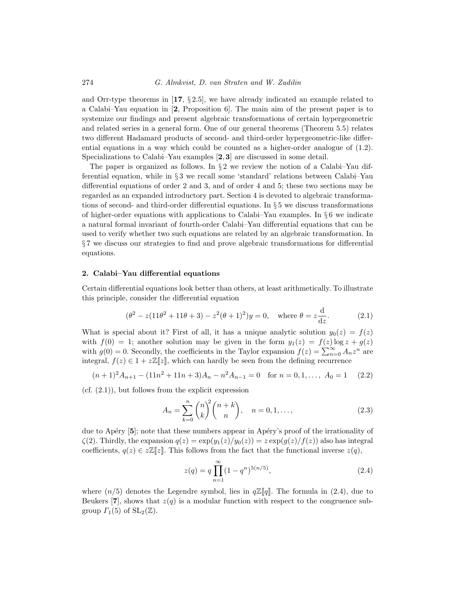and Orr-type theorems in  $\left[17, \frac{6}{5}, 2.5\right]$ , we have already indicated an example related to a Calabi–Yau equation in [**2**, Proposition 6]. The main aim of the present paper is to systemize our findings and present algebraic transformations of certain hypergeometric and related series in a general form. One of our general theorems (Theorem 5.5) relates two different Hadamard products of second- and third-order hypergeometric-like differential equations in a way which could be counted as a higher-order analogue of (1.2). Specializations to Calabi–Yau examples [**2**,**3**] are discussed in some detail.

The paper is organized as follows. In  $\S 2$  we review the notion of a Calabi–Yau differential equation, while in § 3 we recall some 'standard' relations between Calabi–Yau differential equations of order 2 and 3, and of order 4 and 5; these two sections may be regarded as an expanded introductory part. Section 4 is devoted to algebraic transformations of second- and third-order differential equations. In § 5 we discuss transformations of higher-order equations with applications to Calabi–Yau examples. In § 6 we indicate a natural formal invariant of fourth-order Calabi–Yau differential equations that can be used to verify whether two such equations are related by an algebraic transformation. In § 7 we discuss our strategies to find and prove algebraic transformations for differential equations.

### **2. Calabi–Yau differential equations**

Certain differential equations look better than others, at least arithmetically. To illustrate this principle, consider the differential equation

$$
(\theta^2 - z(11\theta^2 + 11\theta + 3) - z^2(\theta + 1)^2)y = 0, \text{ where } \theta = z\frac{d}{dz}.
$$
 (2.1)

What is special about it? First of all, it has a unique analytic solution  $y_0(z) = f(z)$ with  $f(0) = 1$ ; another solution may be given in the form  $y_1(z) = f(z) \log z + g(z)$ with  $g(0) = 0$ . Secondly, the coefficients in the Taylor expansion  $f(z) = \sum_{n=0}^{\infty} A_n z^n$  are integral,  $f(z) \in 1 + z\mathbb{Z}[z]$ , which can hardly be seen from the defining recurrence

$$
(n+1)^2 A_{n+1} - (11n^2 + 11n + 3)A_n - n^2 A_{n-1} = 0 \text{ for } n = 0, 1, ..., A_0 = 1 \quad (2.2)
$$

 $(cf. (2.1))$ , but follows from the explicit expression

$$
A_n = \sum_{k=0}^{n} \binom{n}{k}^2 \binom{n+k}{n}, \quad n = 0, 1, \dots,
$$
 (2.3)

due to Apéry [5]; note that these numbers appear in Apéry's proof of the irrationality of  $\zeta(2)$ . Thirdly, the expansion  $q(z) = \exp(y_1(z)/y_0(z)) = z \exp(q(z)/f(z))$  also has integral coefficients,  $q(z) \in \mathbb{Z}[\![z]\!]$ . This follows from the fact that the functional inverse  $z(q)$ ,

$$
z(q) = q \prod_{n=1}^{\infty} (1 - q^n)^{5(n/5)},
$$
\n(2.4)

where  $(n/5)$  denotes the Legendre symbol, lies in  $q\mathbb{Z}[q]$ . The formula in (2.4), due to Beukers  $\mathbf{7}$ , shows that  $z(q)$  is a modular function with respect to the congruence subgroup  $\Gamma_1(5)$  of  $SL_2(\mathbb{Z})$ .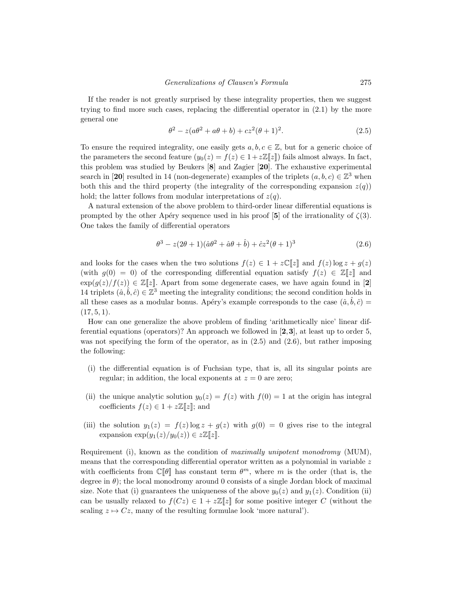If the reader is not greatly surprised by these integrality properties, then we suggest trying to find more such cases, replacing the differential operator in (2.1) by the more general one

$$
\theta^2 - z(a\theta^2 + a\theta + b) + cz^2(\theta + 1)^2.
$$
 (2.5)

To ensure the required integrality, one easily gets  $a, b, c \in \mathbb{Z}$ , but for a generic choice of the parameters the second feature  $(y_0(z) = f(z) \in 1 + z\mathbb{Z}[\![z]\!])$  fails almost always. In fact, this problem was studied by Beukers [**8**] and Zagier [**20**]. The exhaustive experimental search in [20] resulted in 14 (non-degenerate) examples of the triplets  $(a, b, c) \in \mathbb{Z}^3$  when both this and the third property (the integrality of the corresponding expansion  $z(q)$ ) hold; the latter follows from modular interpretations of  $z(q)$ .

A natural extension of the above problem to third-order linear differential equations is prompted by the other Apéry sequence used in his proof [5] of the irrationality of  $\zeta(3)$ . One takes the family of differential operators

$$
\theta^3 - z(2\theta + 1)(\hat{a}\theta^2 + \hat{a}\theta + \hat{b}) + \hat{c}z^2(\theta + 1)^3
$$
 (2.6)

and looks for the cases when the two solutions  $f(z) \in 1 + z\mathbb{C} [z]$  and  $f(z) \log z + g(z)$ (with  $g(0) = 0$ ) of the corresponding differential equation satisfy  $f(z) \in \mathbb{Z}[\![z]\!]$  and  $\exp(g(z)/f(z)) \in \mathbb{Z}[\![z]\!]$ . Apart from some degenerate cases, we have again found in [2] 14 triplets  $(\hat{a}, \hat{b}, \hat{c}) \in \mathbb{Z}^3$  meeting the integrality conditions; the second condition holds in all these cases as a modular bonus. Apéry's example corresponds to the case  $(\hat{a}, \hat{b}, \hat{c}) =$  $(17, 5, 1).$ 

How can one generalize the above problem of finding 'arithmetically nice' linear differential equations (operators)? An approach we followed in [**2**,**3**], at least up to order 5, was not specifying the form of the operator, as in  $(2.5)$  and  $(2.6)$ , but rather imposing the following:

- (i) the differential equation is of Fuchsian type, that is, all its singular points are regular; in addition, the local exponents at  $z = 0$  are zero;
- (ii) the unique analytic solution  $y_0(z) = f(z)$  with  $f(0) = 1$  at the origin has integral coefficients  $f(z) \in 1 + z\mathbb{Z}[z]$ ; and
- (iii) the solution  $y_1(z) = f(z) \log z + g(z)$  with  $g(0) = 0$  gives rise to the integral expansion  $\exp(y_1(z)/y_0(z)) \in z\mathbb{Z}[\![z]\!]$ .

Requirement (i), known as the condition of maximally unipotent monodromy (MUM), means that the corresponding differential operator written as a polynomial in variable  $z$ with coefficients from  $\mathbb{C}[\theta]$  has constant term  $\theta^m$ , where m is the order (that is, the degree in  $\theta$ ); the local monodromy around 0 consists of a single Jordan block of maximal size. Note that (i) guarantees the uniqueness of the above  $y_0(z)$  and  $y_1(z)$ . Condition (ii) can be usually relaxed to  $f(Cz) \in 1 + z\mathbb{Z}[z]$  for some positive integer C (without the scaling  $z \mapsto Cz$ , many of the resulting formulae look 'more natural').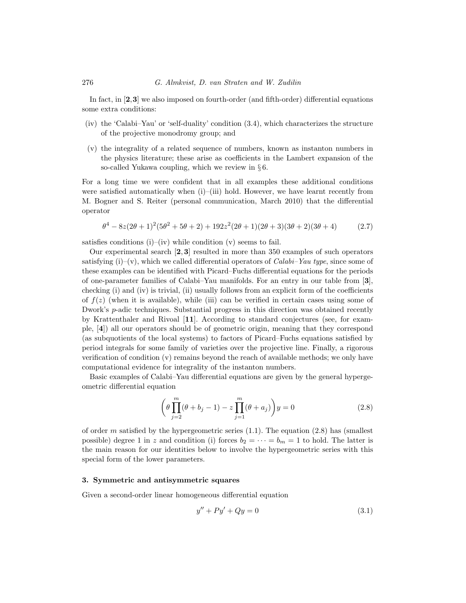In fact, in [**2**,**3**] we also imposed on fourth-order (and fifth-order) differential equations some extra conditions:

- (iv) the 'Calabi–Yau' or 'self-duality' condition (3.4), which characterizes the structure of the projective monodromy group; and
- (v) the integrality of a related sequence of numbers, known as instanton numbers in the physics literature; these arise as coefficients in the Lambert expansion of the so-called Yukawa coupling, which we review in  $\S 6$ .

For a long time we were confident that in all examples these additional conditions were satisfied automatically when (i)–(iii) hold. However, we have learnt recently from M. Bogner and S. Reiter (personal communication, March 2010) that the differential operator

$$
\theta^4 - 8z(2\theta + 1)^2(5\theta^2 + 5\theta + 2) + 192z^2(2\theta + 1)(2\theta + 3)(3\theta + 2)(3\theta + 4)
$$
 (2.7)

satisfies conditions  $(i)$ – $(iv)$  while condition  $(v)$  seems to fail.

Our experimental search [**2**, **3**] resulted in more than 350 examples of such operators satisfying  $(i)$ – $(v)$ , which we called differential operators of *Calabi–Yau type*, since some of these examples can be identified with Picard–Fuchs differential equations for the periods of one-parameter families of Calabi–Yau manifolds. For an entry in our table from [**3**], checking (i) and (iv) is trivial, (ii) usually follows from an explicit form of the coefficients of  $f(z)$  (when it is available), while (iii) can be verified in certain cases using some of Dwork's  $p$ -adic techniques. Substantial progress in this direction was obtained recently by Krattenthaler and Rivoal [**11**]. According to standard conjectures (see, for example, [**4**]) all our operators should be of geometric origin, meaning that they correspond (as subquotients of the local systems) to factors of Picard–Fuchs equations satisfied by period integrals for some family of varieties over the projective line. Finally, a rigorous verification of condition  $(v)$  remains beyond the reach of available methods; we only have computational evidence for integrality of the instanton numbers.

Basic examples of Calabi–Yau differential equations are given by the general hypergeometric differential equation

$$
\left(\theta \prod_{j=2}^{m} (\theta + b_j - 1) - z \prod_{j=1}^{m} (\theta + a_j)\right) y = 0
$$
\n(2.8)

of order  $m$  satisfied by the hypergeometric series  $(1.1)$ . The equation  $(2.8)$  has (smallest possible) degree 1 in z and condition (i) forces  $b_2 = \cdots = b_m = 1$  to hold. The latter is the main reason for our identities below to involve the hypergeometric series with this special form of the lower parameters.

### **3. Symmetric and antisymmetric squares**

Given a second-order linear homogeneous differential equation

$$
y'' + Py' + Qy = 0 \t\t(3.1)
$$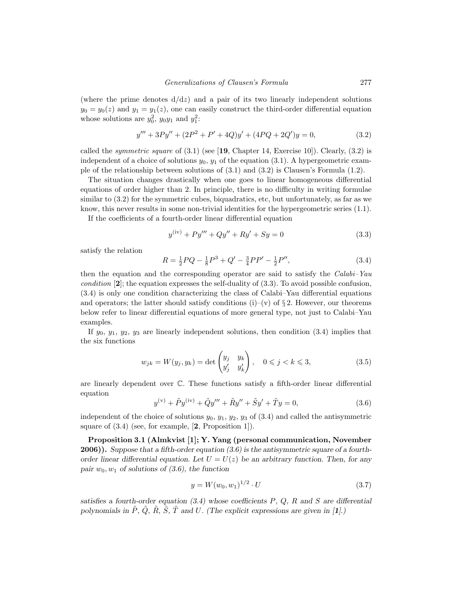(where the prime denotes  $d/dz$ ) and a pair of its two linearly independent solutions  $y_0 = y_0(z)$  and  $y_1 = y_1(z)$ , one can easily construct the third-order differential equation whose solutions are  $y_0^2$ ,  $y_0y_1$  and  $y_1^2$ :

$$
y''' + 3Py'' + (2P2 + P' + 4Q)y' + (4PQ + 2Q')y = 0,
$$
\n(3.2)

called the *symmetric square* of  $(3.1)$  (see [19, Chapter 14, Exercise 10]). Clearly,  $(3.2)$  is independent of a choice of solutions  $y_0, y_1$  of the equation (3.1). A hypergeometric example of the relationship between solutions of (3.1) and (3.2) is Clausen's Formula (1.2).

The situation changes drastically when one goes to linear homogeneous differential equations of order higher than 2. In principle, there is no difficulty in writing formulae similar to (3.2) for the symmetric cubes, biquadratics, etc, but unfortunately, as far as we know, this never results in some non-trivial identities for the hypergeometric series (1.1).

If the coefficients of a fourth-order linear differential equation

$$
y^{(iv)} + Py''' + Qy'' + Ry' + Sy = 0
$$
\n(3.3)

satisfy the relation

$$
R = \frac{1}{2}PQ - \frac{1}{8}P^3 + Q' - \frac{3}{4}PP' - \frac{1}{2}P'',\tag{3.4}
$$

then the equation and the corresponding operator are said to satisfy the *Calabi–Yau* condition [**2**]; the equation expresses the self-duality of (3.3). To avoid possible confusion, (3.4) is only one condition characterizing the class of Calabi–Yau differential equations and operators; the latter should satisfy conditions (i)–(v) of  $\S 2$ . However, our theorems below refer to linear differential equations of more general type, not just to Calabi–Yau examples.

If  $y_0, y_1, y_2, y_3$  are linearly independent solutions, then condition  $(3.4)$  implies that the six functions

$$
w_{jk} = W(y_j, y_k) = \det \begin{pmatrix} y_j & y_k \\ y'_j & y'_k \end{pmatrix}, \quad 0 \le j < k \le 3,
$$
\n
$$
(3.5)
$$

are linearly dependent over C. These functions satisfy a fifth-order linear differential equation

$$
y^{(v)} + \tilde{P}y^{(iv)} + \tilde{Q}y''' + \tilde{R}y'' + \tilde{S}y' + \tilde{T}y = 0,
$$
\n(3.6)

independent of the choice of solutions  $y_0, y_1, y_2, y_3$  of (3.4) and called the antisymmetric square of (3.4) (see, for example, [**2**, Proposition 1]).

**Proposition 3.1 (Almkvist [1]; Y. Yang (personal communication, November 2006)).** *Suppose that a fifth-order equation (3.6) is the antisymmetric square of a fourthorder linear differential equation. Let*  $U = U(z)$  *be an arbitrary function. Then, for any* pair  $w_0, w_1$  *of solutions of (3.6), the function* 

$$
y = W(w_0, w_1)^{1/2} \cdot U \tag{3.7}
$$

*satisfies a fourth-order equation (3.4) whose coefficients* P*,* Q*,* R *and* S *are differential polynomials in*  $\tilde{P}$ *,*  $\tilde{Q}$ *,*  $\tilde{R}$ *,*  $\tilde{S}$ *,*  $\tilde{T}$  *and*  $U$ *.* (The explicit expressions are given in [**1***]*.)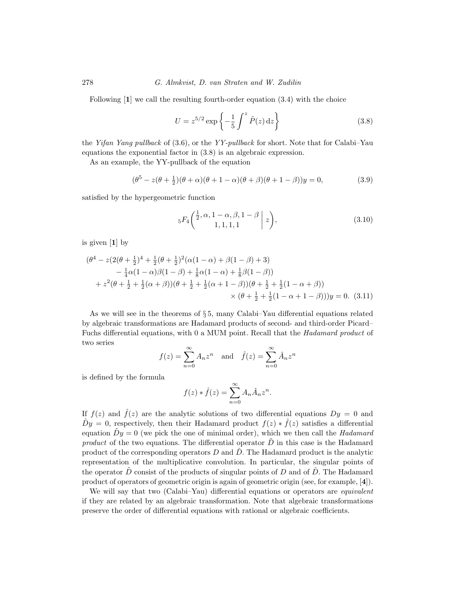Following [**1**] we call the resulting fourth-order equation (3.4) with the choice

$$
U = z^{5/2} \exp\left\{-\frac{1}{5} \int^z \tilde{P}(z) dz\right\}
$$
 (3.8)

the Yifan Yang pullback of  $(3.6)$ , or the YY-pullback for short. Note that for Calabi–Yau equations the exponential factor in (3.8) is an algebraic expression.

As an example, the YY-pullback of the equation

$$
(\theta^5 - z(\theta + \frac{1}{2})(\theta + \alpha)(\theta + 1 - \alpha)(\theta + \beta)(\theta + 1 - \beta))y = 0,
$$
\n(3.9)

satisfied by the hypergeometric function

$$
{}_{5}F_{4}\left(\frac{\frac{1}{2},\alpha,1-\alpha,\beta,1-\beta}{1,1,1,1}\,\bigg|\,z\right),\tag{3.10}
$$

is given [**1**] by

$$
(\theta^4 - z(2(\theta + \frac{1}{2})^4 + \frac{1}{2}(\theta + \frac{1}{2})^2(\alpha(1 - \alpha) + \beta(1 - \beta) + 3) - \frac{1}{4}\alpha(1 - \alpha)\beta(1 - \beta) + \frac{1}{8}\alpha(1 - \alpha) + \frac{1}{8}\beta(1 - \beta)) + z^2(\theta + \frac{1}{2} + \frac{1}{2}(\alpha + \beta))(\theta + \frac{1}{2} + \frac{1}{2}(\alpha + 1 - \beta))(\theta + \frac{1}{2} + \frac{1}{2}(1 - \alpha + \beta)) \times (\theta + \frac{1}{2} + \frac{1}{2}(1 - \alpha + 1 - \beta)))y = 0.
$$
 (3.11)

As we will see in the theorems of § 5, many Calabi–Yau differential equations related by algebraic transformations are Hadamard products of second- and third-order Picard– Fuchs differential equations, with 0 a MUM point. Recall that the Hadamard product of two series

$$
f(z) = \sum_{n=0}^{\infty} A_n z^n
$$
 and  $\hat{f}(z) = \sum_{n=0}^{\infty} \hat{A}_n z^n$ 

is defined by the formula

$$
f(z) * \hat{f}(z) = \sum_{n=0}^{\infty} A_n \hat{A}_n z^n.
$$

If  $f(z)$  and  $\hat{f}(z)$  are the analytic solutions of two differential equations  $Dy = 0$  and  $\hat{D}y = 0$ , respectively, then their Hadamard product  $f(z) * \hat{f}(z)$  satisfies a differential equation  $\tilde{D}y = 0$  (we pick the one of minimal order), which we then call the Hadamard product of the two equations. The differential operator  $D$  in this case is the Hadamard product of the corresponding operators  $D$  and  $\hat{D}$ . The Hadamard product is the analytic representation of the multiplicative convolution. In particular, the singular points of the operator D consist of the products of singular points of D and of  $\ddot{D}$ . The Hadamard product of operators of geometric origin is again of geometric origin (see, for example, [**4**]).

We will say that two (Calabi–Yau) differential equations or operators are *equivalent* if they are related by an algebraic transformation. Note that algebraic transformations preserve the order of differential equations with rational or algebraic coefficients.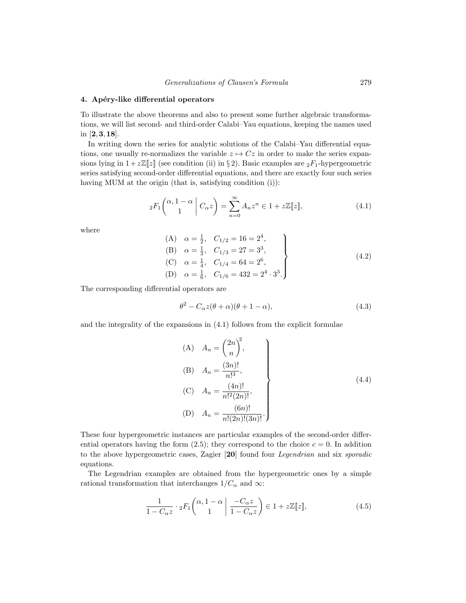### **4. Ap´ery-like differential operators**

To illustrate the above theorems and also to present some further algebraic transformations, we will list second- and third-order Calabi–Yau equations, keeping the names used in [**2**,**3**,**18**].

In writing down the series for analytic solutions of the Calabi–Yau differential equations, one usually re-normalizes the variable  $z \mapsto Cz$  in order to make the series expansions lying in  $1+z\mathbb{Z}[z]$  (see condition (ii) in § 2). Basic examples are  ${}_2F_1$ -hypergeometric series satisfying second-order differential equations, and there are exactly four such series having MUM at the origin (that is, satisfying condition (i)):

$$
{}_2F_1\left(\begin{array}{c} \alpha, 1-\alpha \\ 1 \end{array} \middle| C_{\alpha}z\right) = \sum_{n=0}^{\infty} A_n z^n \in 1 + z\mathbb{Z}[\![z]\!],\tag{4.1}
$$

where

(A) 
$$
\alpha = \frac{1}{2}
$$
,  $C_{1/2} = 16 = 2^4$ ,  
\n(B)  $\alpha = \frac{1}{3}$ ,  $C_{1/3} = 27 = 3^3$ ,  
\n(C)  $\alpha = \frac{1}{4}$ ,  $C_{1/4} = 64 = 2^6$ ,  
\n(D)  $\alpha = \frac{1}{6}$ ,  $C_{1/6} = 432 = 2^4 \cdot 3^3$ .

The corresponding differential operators are

$$
\theta^2 - C_{\alpha} z(\theta + \alpha)(\theta + 1 - \alpha),\tag{4.3}
$$

and the integrality of the expansions in (4.1) follows from the explicit formulae

(A) 
$$
A_n = \binom{2n}{n}^2
$$
,  
\n(B)  $A_n = \frac{(3n)!}{n!^3}$ ,  
\n(C)  $A_n = \frac{(4n)!}{n!^2(2n)!}$ ,  
\n(D)  $A_n = \frac{(6n)!}{n!(2n)!(3n)!}$ .  
\n(A.4)

These four hypergeometric instances are particular examples of the second-order differential operators having the form  $(2.5)$ ; they correspond to the choice  $c = 0$ . In addition to the above hypergeometric cases, Zagier [**20**] found four Legendrian and six sporadic equations.

The Legendrian examples are obtained from the hypergeometric ones by a simple rational transformation that interchanges  $1/C_{\alpha}$  and  $\infty$ :

$$
\frac{1}{1 - C_{\alpha} z} \cdot {}_2F_1\left(\begin{array}{c} \alpha, 1 - \alpha \\ 1 \end{array} \middle| \frac{-C_{\alpha} z}{1 - C_{\alpha} z} \right) \in 1 + z\mathbb{Z}[\![z]\!],\tag{4.5}
$$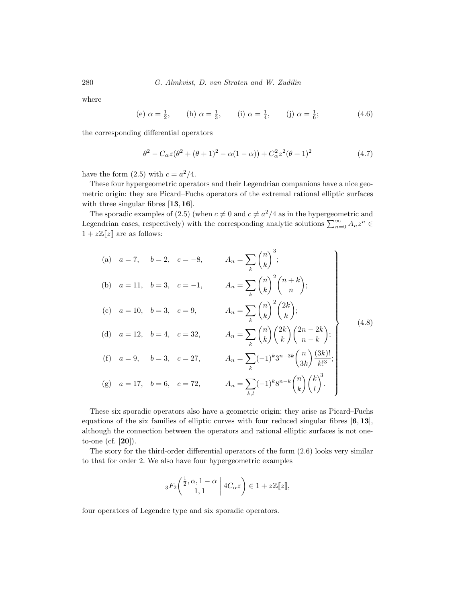where

(e) 
$$
\alpha = \frac{1}{2}
$$
, (h)  $\alpha = \frac{1}{3}$ , (i)  $\alpha = \frac{1}{4}$ , (j)  $\alpha = \frac{1}{6}$ ; (4.6)

the corresponding differential operators

$$
\theta^2 - C_{\alpha} z(\theta^2 + (\theta + 1)^2 - \alpha(1 - \alpha)) + C_{\alpha}^2 z^2 (\theta + 1)^2 \tag{4.7}
$$

have the form  $(2.5)$  with  $c = a^2/4$ .

These four hypergeometric operators and their Legendrian companions have a nice geometric origin: they are Picard–Fuchs operators of the extremal rational elliptic surfaces with three singular fibres [**13**,**16**].

The sporadic examples of (2.5) (when  $c \neq 0$  and  $c \neq a^2/4$  as in the hypergeometric and Legendrian cases, respectively) with the corresponding analytic solutions  $\sum_{n=0}^{\infty} A_n z^n \in$  $1 + z\mathbb{Z}[z]$  are as follows:

(a) 
$$
a = 7
$$
,  $b = 2$ ,  $c = -8$ ,  $A_n = \sum_k {n \choose k}^3$ ;  
\n(b)  $a = 11$ ,  $b = 3$ ,  $c = -1$ ,  $A_n = \sum_k {n \choose k}^2 {n+k \choose n}$ ;  
\n(c)  $a = 10$ ,  $b = 3$ ,  $c = 9$ ,  $A_n = \sum_k {n \choose k}^2 {2k \choose k}$ ;  
\n(d)  $a = 12$ ,  $b = 4$ ,  $c = 32$ ,  $A_n = \sum_k {n \choose k} {2k \choose k} {2n-2k \choose n-k}$ ;  
\n(f)  $a = 9$ ,  $b = 3$ ,  $c = 27$ ,  $A_n = \sum_k (-1)^k 3^{n-3k} {n \choose 3k} \frac{(3k)!}{k!^3}$ ;  
\n(g)  $a = 17$ ,  $b = 6$ ,  $c = 72$ ,  $A_n = \sum_{k,l} (-1)^k 8^{n-k} {n \choose k} {k \choose l}^3$ .

These six sporadic operators also have a geometric origin; they arise as Picard–Fuchs equations of the six families of elliptic curves with four reduced singular fibres [**6**, **13**], although the connection between the operators and rational elliptic surfaces is not oneto-one (cf. [**20**]).

The story for the third-order differential operators of the form (2.6) looks very similar to that for order 2. We also have four hypergeometric examples

$$
{}_3F_2\bigg(\frac{\frac{1}{2}, \alpha, 1-\alpha}{1, 1} \bigg| 4C_{\alpha}z\bigg) \in 1 + z\mathbb{Z}[\![z]\!],
$$

four operators of Legendre type and six sporadic operators.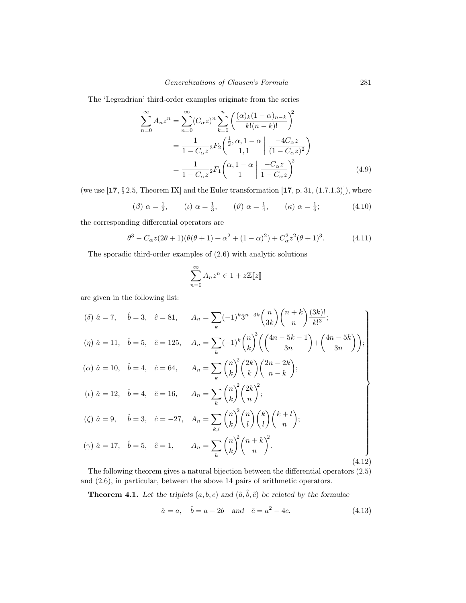The 'Legendrian' third-order examples originate from the series

$$
\sum_{n=0}^{\infty} A_n z^n = \sum_{n=0}^{\infty} (C_{\alpha} z)^n \sum_{k=0}^n \left( \frac{(\alpha)_k (1 - \alpha)_{n-k}}{k! (n - k)!} \right)^2
$$
  
=  $\frac{1}{1 - C_{\alpha} z} {}_3F_2 \left( \frac{1}{2}, \alpha, 1 - \alpha \mid \frac{-4C_{\alpha} z}{(1 - C_{\alpha} z)^2} \right)$   
=  $\frac{1}{1 - C_{\alpha} z} {}_2F_1 \left( \alpha, 1 - \alpha \mid \frac{-C_{\alpha} z}{1 - C_{\alpha} z} \right)^2$  (4.9)

(we use [**17**, § 2.5, Theorem IX] and the Euler transformation [**17**, p. 31, (1.7.1.3)]), where

$$
(\beta) \ \alpha = \frac{1}{2}, \qquad (\iota) \ \alpha = \frac{1}{3}, \qquad (\vartheta) \ \alpha = \frac{1}{4}, \qquad (\kappa) \ \alpha = \frac{1}{6}; \tag{4.10}
$$

the corresponding differential operators are

$$
\theta^3 - C_{\alpha}z(2\theta + 1)(\theta(\theta + 1) + \alpha^2 + (1 - \alpha)^2) + C_{\alpha}^2z^2(\theta + 1)^3.
$$
 (4.11)

The sporadic third-order examples of (2.6) with analytic solutions

$$
\sum_{n=0}^{\infty} A_n z^n \in 1 + z \mathbb{Z}[\![z]\!]
$$

are given in the following list:

$$
(\delta) \ \hat{a} = 7, \quad \hat{b} = 3, \quad \hat{c} = 81, \quad A_n = \sum_{k} (-1)^k 3^{n-3k} {n \choose 3k} {n+k \choose n} \frac{(3k)!}{k!^3};
$$
\n
$$
(\eta) \ \hat{a} = 11, \quad \hat{b} = 5, \quad \hat{c} = 125, \quad A_n = \sum_{k} (-1)^k {n \choose k} \left( \frac{4n-5k-1}{3n} \right) + \left( \frac{4n-5k}{3n} \right) \right);
$$
\n
$$
(\alpha) \ \hat{a} = 10, \quad \hat{b} = 4, \quad \hat{c} = 64, \quad A_n = \sum_{k} {n \choose k}^2 \binom{2k}{k} \binom{2n-2k}{n-k};
$$
\n
$$
(\epsilon) \ \hat{a} = 12, \quad \hat{b} = 4, \quad \hat{c} = 16, \quad A_n = \sum_{k} {n \choose k}^2 \binom{2k}{n}^2;
$$
\n
$$
(\zeta) \ \hat{a} = 9, \quad \hat{b} = 3, \quad \hat{c} = -27, \quad A_n = \sum_{k,l} {n \choose k}^2 {n \choose l} {k \choose l} {k+l \choose n};
$$
\n
$$
(\gamma) \ \hat{a} = 17, \quad \hat{b} = 5, \quad \hat{c} = 1, \quad A_n = \sum_{k} {n \choose k}^2 {n+k \choose n}^2.
$$
\n
$$
(4.12)
$$

The following theorem gives a natural bijection between the differential operators (2.5) and (2.6), in particular, between the above 14 pairs of arithmetic operators.

**Theorem 4.1.** Let the triplets  $(a, b, c)$  and  $(\hat{a}, \hat{b}, \hat{c})$  be related by the formulae

$$
\hat{a} = a, \quad \hat{b} = a - 2b \quad \text{and} \quad \hat{c} = a^2 - 4c.
$$
\n(4.13)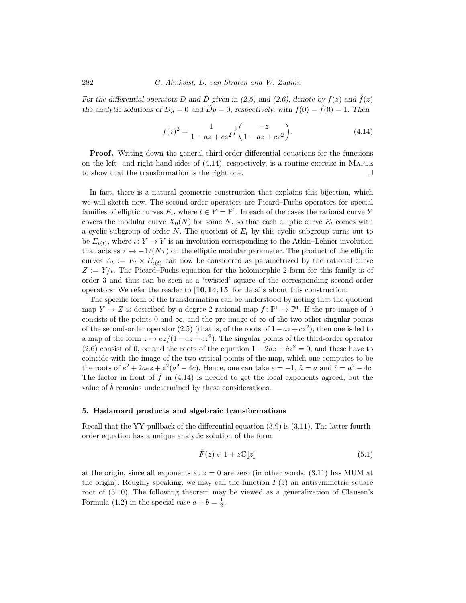*For the differential operators* D and  $\hat{D}$  given in (2.5) and (2.6), denote by  $f(z)$  and  $\hat{f}(z)$ *the analytic solutions of*  $Dy = 0$  *and*  $\hat{D}y = 0$ *, respectively, with*  $f(0) = \hat{f}(0) = 1$ *. Then* 

$$
f(z)^{2} = \frac{1}{1 - az + cz^{2}} \hat{f}\left(\frac{-z}{1 - az + cz^{2}}\right).
$$
 (4.14)

**Proof.** Writing down the general third-order differential equations for the functions on the left- and right-hand sides of (4.14), respectively, is a routine exercise in Maple to show that the transformation is the right one.  $\Box$ 

In fact, there is a natural geometric construction that explains this bijection, which we will sketch now. The second-order operators are Picard–Fuchs operators for special families of elliptic curves  $E_t$ , where  $t \in Y = \mathbb{P}^1$ . In each of the cases the rational curve Y covers the modular curve  $X_0(N)$  for some N, so that each elliptic curve  $E_t$  comes with a cyclic subgroup of order N. The quotient of  $E_t$  by this cyclic subgroup turns out to be  $E_{\iota(t)}$ , where  $\iota: Y \to Y$  is an involution corresponding to the Atkin–Lehner involution that acts as  $\tau \mapsto -1/(N\tau)$  on the elliptic modular parameter. The product of the elliptic curves  $A_t := E_t \times E_{\iota(t)}$  can now be considered as parametrized by the rational curve  $Z := Y/\iota$ . The Picard–Fuchs equation for the holomorphic 2-form for this family is of order 3 and thus can be seen as a 'twisted' square of the corresponding second-order operators. We refer the reader to [**10**,**14**,**15**] for details about this construction.

The specific form of the transformation can be understood by noting that the quotient map  $Y \to Z$  is described by a degree-2 rational map  $f: \mathbb{P}^1 \to \mathbb{P}^1$ . If the pre-image of 0 consists of the points 0 and  $\infty$ , and the pre-image of  $\infty$  of the two other singular points of the second-order operator (2.5) (that is, of the roots of  $1-az+cz^2$ ), then one is led to a map of the form  $z \mapsto e z/(1 - az + cz^2)$ . The singular points of the third-order operator (2.6) consist of 0,  $\infty$  and the roots of the equation  $1 - 2\hat{a}z + \hat{c}z^2 = 0$ , and these have to coincide with the image of the two critical points of the map, which one computes to be the roots of  $e^2 + 2aez + z^2(a^2 - 4c)$ . Hence, one can take  $e = -1$ ,  $\hat{a} = a$  and  $\hat{c} = a^2 - 4c$ . The factor in front of  $\hat{f}$  in (4.14) is needed to get the local exponents agreed, but the value of  $\ddot{b}$  remains undetermined by these considerations.

### **5. Hadamard products and algebraic transformations**

Recall that the YY-pullback of the differential equation (3.9) is (3.11). The latter fourthorder equation has a unique analytic solution of the form

$$
\tilde{F}(z) \in 1 + z\mathbb{C}[\![z]\!]
$$
\n(5.1)

at the origin, since all exponents at  $z = 0$  are zero (in other words, (3.11) has MUM at the origin). Roughly speaking, we may call the function  $\hat{F}(z)$  an antisymmetric square root of (3.10). The following theorem may be viewed as a generalization of Clausen's Formula (1.2) in the special case  $a + b = \frac{1}{2}$ .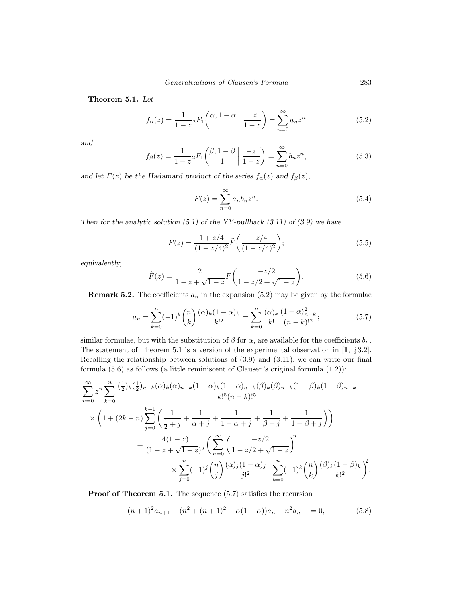**Theorem 5.1.** *Let*

$$
f_{\alpha}(z) = \frac{1}{1-z} {}_{2}F_{1}\left(\begin{array}{c} \alpha, 1-\alpha \\ 1 \end{array} \middle| \frac{-z}{1-z} \right) = \sum_{n=0}^{\infty} a_{n} z^{n}
$$
(5.2)

*and*

$$
f_{\beta}(z) = \frac{1}{1 - z^2} F_1 \begin{pmatrix} \beta, 1 - \beta \\ 1 \end{pmatrix} \frac{-z}{1 - z} = \sum_{n=0}^{\infty} b_n z^n,
$$
 (5.3)

*and let*  $F(z)$  *be the Hadamard product of the series*  $f_{\alpha}(z)$  *and*  $f_{\beta}(z)$ *,* 

$$
F(z) = \sum_{n=0}^{\infty} a_n b_n z^n.
$$
\n(5.4)

*Then for the analytic solution (5.1) of the YY-pullback (3.11) of (3.9) we have*

$$
F(z) = \frac{1 + z/4}{(1 - z/4)^2} \tilde{F}\left(\frac{-z/4}{(1 - z/4)^2}\right);
$$
\n(5.5)

*equivalently,*

$$
\tilde{F}(z) = \frac{2}{1 - z + \sqrt{1 - z}} F\left(\frac{-z/2}{1 - z/2 + \sqrt{1 - z}}\right).
$$
\n(5.6)

**Remark 5.2.** The coefficients  $a_n$  in the expansion (5.2) may be given by the formulae

$$
a_n = \sum_{k=0}^n (-1)^k \binom{n}{k} \frac{(\alpha)_k (1-\alpha)_k}{k!^2} = \sum_{k=0}^n \frac{(\alpha)_k}{k!} \frac{(1-\alpha)_{n-k}^2}{(n-k)!^2};\tag{5.7}
$$

similar formulae, but with the substitution of  $\beta$  for  $\alpha$ , are available for the coefficients  $b_n$ . The statement of Theorem 5.1 is a version of the experimental observation in [**1**, § 3.2]. Recalling the relationship between solutions of (3.9) and (3.11), we can write our final formula (5.6) as follows (a little reminiscent of Clausen's original formula (1.2)):

$$
\sum_{n=0}^{\infty} z^n \sum_{k=0}^n \frac{\left(\frac{1}{2}\right)_k \left(\frac{1}{2}\right)_{n-k} (\alpha)_k (\alpha)_{n-k} (1-\alpha)_k (1-\alpha)_{n-k} (\beta)_k (\beta)_{n-k} (1-\beta)_k (1-\beta)_{n-k}}{k! \delta (n-k)! \delta}
$$
  
 
$$
\times \left(1 + (2k - n) \sum_{j=0}^{k-1} \left(\frac{1}{\frac{1}{2}+j} + \frac{1}{\alpha+j} + \frac{1}{1-\alpha+j} + \frac{1}{\beta+j} + \frac{1}{1-\beta+j}\right)\right)
$$
  

$$
= \frac{4(1-z)}{(1-z+\sqrt{1-z})^2} \left(\sum_{n=0}^{\infty} \left(\frac{-z/2}{1-z/2+\sqrt{1-z}}\right)^n + \sum_{k=0}^n (-1)^k {n \choose k} \frac{(\beta)_k (1-\beta)_k}{k!^2}\right)^2
$$

**Proof of Theorem 5.1.** The sequence  $(5.7)$  satisfies the recursion

$$
(n+1)^{2}a_{n+1} - (n^{2} + (n+1)^{2} - \alpha(1-\alpha))a_{n} + n^{2}a_{n-1} = 0,
$$
\n(5.8)

.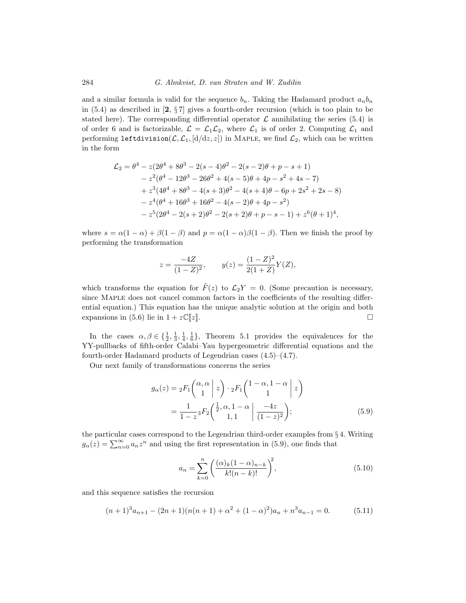and a similar formula is valid for the sequence  $b_n$ . Taking the Hadamard product  $a_n b_n$ in (5.4) as described in [**2**, § 7] gives a fourth-order recursion (which is too plain to be stated here). The corresponding differential operator  $\mathcal L$  annihilating the series (5.4) is of order 6 and is factorizable,  $\mathcal{L} = \mathcal{L}_1 \mathcal{L}_2$ , where  $\mathcal{L}_1$  is of order 2. Computing  $\mathcal{L}_1$  and performing leftdivision( $\mathcal{L}, \mathcal{L}_1$ ,  $\left[\frac{d}{dz}, z\right]$ ) in MAPLE, we find  $\mathcal{L}_2$ , which can be written in the form

$$
\mathcal{L}_2 = \theta^4 - z(2\theta^4 + 8\theta^3 - 2(s - 4)\theta^2 - 2(s - 2)\theta + p - s + 1)
$$
  
\n
$$
- z^2(\theta^4 - 12\theta^3 - 26\theta^2 + 4(s - 5)\theta + 4p - s^2 + 4s - 7)
$$
  
\n
$$
+ z^3(4\theta^4 + 8\theta^3 - 4(s + 3)\theta^2 - 4(s + 4)\theta - 6p + 2s^2 + 2s - 8)
$$
  
\n
$$
- z^4(\theta^4 + 16\theta^3 + 16\theta^2 - 4(s - 2)\theta + 4p - s^2)
$$
  
\n
$$
- z^5(2\theta^4 - 2(s + 2)\theta^2 - 2(s + 2)\theta + p - s - 1) + z^6(\theta + 1)^4,
$$

where  $s = \alpha(1 - \alpha) + \beta(1 - \beta)$  and  $p = \alpha(1 - \alpha)\beta(1 - \beta)$ . Then we finish the proof by performing the transformation

$$
z = \frac{-4Z}{(1-Z)^2}, \qquad y(z) = \frac{(1-Z)^2}{2(1+Z)}Y(Z),
$$

which transforms the equation for  $\tilde{F}(z)$  to  $\mathcal{L}_2Y = 0$ . (Some precaution is necessary, since Maple does not cancel common factors in the coefficients of the resulting differential equation.) This equation has the unique analytic solution at the origin and both expansions in (5.6) lie in  $1 + z\mathbb{C}[z]$ .  $\Box$ 

In the cases  $\alpha, \beta \in \{\frac{1}{2}, \frac{1}{3}, \frac{1}{4}, \frac{1}{6}\}\$ , Theorem 5.1 provides the equivalences for the YY-pullbacks of fifth-order Calabi–Yau hypergeometric differential equations and the fourth-order Hadamard products of Legendrian cases (4.5)–(4.7).

Our next family of transformations concerns the series

$$
g_{\alpha}(z) = {}_2F_1\left(\begin{array}{c} \alpha, \alpha \\ 1 \end{array} \middle| z\right) \cdot {}_2F_1\left(\begin{array}{c} 1-\alpha, 1-\alpha \\ 1 \end{array} \middle| z\right)
$$

$$
= \frac{1}{1-z} {}_3F_2\left(\begin{array}{c} \frac{1}{2}, \alpha, 1-\alpha \\ 1, 1 \end{array} \middle| \frac{-4z}{(1-z)^2}\right); \tag{5.9}
$$

the particular cases correspond to the Legendrian third-order examples from  $\S 4$ . Writing  $g_{\alpha}(z) = \sum_{n=0}^{\infty} a_n z^n$  and using the first representation in (5.9), one finds that

$$
a_n = \sum_{k=0}^{n} \left( \frac{(\alpha)_k (1 - \alpha)_{n-k}}{k!(n-k)!} \right)^2,
$$
\n(5.10)

and this sequence satisfies the recursion

$$
(n+1)^3 a_{n+1} - (2n+1)(n(n+1) + \alpha^2 + (1-\alpha)^2)a_n + n^3 a_{n-1} = 0.
$$
 (5.11)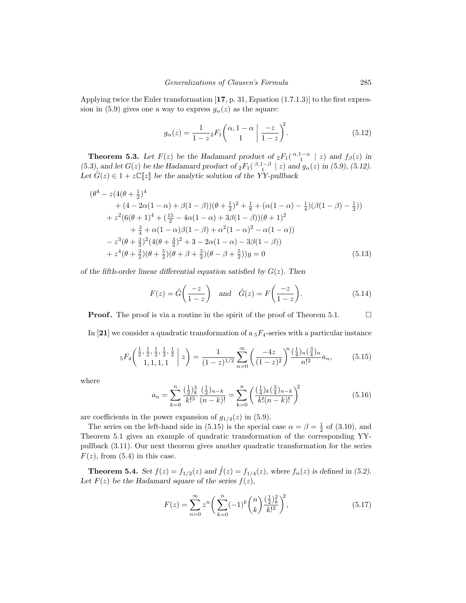Applying twice the Euler transformation [**17**, p. 31, Equation (1.7.1.3)] to the first expression in (5.9) gives one a way to express  $g_{\alpha}(z)$  as the square:

$$
g_{\alpha}(z) = \frac{1}{1-z} {}_2F_1\left(\begin{array}{c} \alpha, 1-\alpha \\ 1 \end{array} \middle| \begin{array}{c} -z \\ 1-z \end{array}\right)^2.
$$
 (5.12)

**Theorem 5.3.** *Let*  $F(z)$  *be the Hadamard product of*  ${}_2F_1(\begin{array}{c} \alpha, 1-\alpha \\ 1 \end{array} | z)$  *and*  $f_\beta(z)$  *in*  $(5.3)$ , and let  $G(z)$  be the Hadamard product of  ${}_2F_1$  $\binom{\beta,1-\beta}{1}$   $|z|$  and  $g_{\alpha}(z)$  in (5.9), (5.12). Let  $\tilde{G}(z) \in 1 + z\mathbb{C}[[z]]$  be the analytic solution of the YY-pullback

$$
(\theta^{4} - z(4(\theta + \frac{1}{2})^{4} + (4 - 2\alpha(1 - \alpha) + \beta(1 - \beta))(\theta + \frac{1}{2})^{2} + \frac{1}{8} + (\alpha(1 - \alpha) - \frac{1}{4})(\beta(1 - \beta) - \frac{1}{2})) + z^{2}(6(\theta + 1)^{4} + (\frac{15}{2} - 4\alpha(1 - \alpha) + 3\beta(1 - \beta))(\theta + 1)^{2} + \frac{3}{4} + \alpha(1 - \alpha)\beta(1 - \beta) + \alpha^{2}(1 - \alpha)^{2} - \alpha(1 - \alpha)) - z^{3}(\theta + \frac{3}{2})^{2}(4(\theta + \frac{3}{2})^{2} + 3 - 2\alpha(1 - \alpha) - 3\beta(1 - \beta)) + z^{4}(\theta + \frac{3}{2})(\theta + \beta + \frac{3}{2})(\theta - \beta + \frac{5}{2}))y = 0
$$
\n(5.13)

*of the fifth-order linear differential equation satisfied by* G(z)*. Then*

$$
F(z) = \tilde{G}\left(\frac{-z}{1-z}\right) \quad \text{and} \quad \tilde{G}(z) = F\left(\frac{-z}{1-z}\right). \tag{5.14}
$$

**Proof.** The proof is via a routine in the spirit of the proof of Theorem 5.1.  $\Box$ 

In [21] we consider a quadratic transformation of a  $_5F_4$ -series with a particular instance

$$
{}_5F_4\left(\begin{array}{c} \frac{1}{2}, \frac{1}{2}, \frac{1}{2}, \frac{1}{2}, \frac{1}{2} \\ 1, 1, 1, 1 \end{array}\bigg| z\right) = \frac{1}{(1-z)^{1/2}} \sum_{n=0}^{\infty} \left(\frac{-4z}{(1-z)^2}\right)^n \frac{\left(\frac{1}{4}\right)_n \left(\frac{3}{4}\right)_n}{n!^2} a_n,\tag{5.15}
$$

where

$$
a_n = \sum_{k=0}^n \frac{\left(\frac{1}{2}\right)_k^3}{k!^3} \frac{\left(\frac{1}{2}\right)_{n-k}}{(n-k)!} = \sum_{k=0}^n \left(\frac{\left(\frac{1}{4}\right)_k \left(\frac{3}{4}\right)_{n-k}}{k!(n-k)!}\right)^2 \tag{5.16}
$$

are coefficients in the power expansion of  $g_{1/4}(z)$  in (5.9).

The series on the left-hand side in (5.15) is the special case  $\alpha = \beta = \frac{1}{2}$  of (3.10), and Theorem 5.1 gives an example of quadratic transformation of the corresponding YYpullback (3.11). Our next theorem gives another quadratic transformation for the series  $F(z)$ , from (5.4) in this case.

**Theorem 5.4.** *Set*  $f(z) = f_{1/2}(z)$  *and*  $\hat{f}(z) = f_{1/4}(z)$ *, where*  $f_{\alpha}(z)$  *is defined in* (5.2). Let  $F(z)$  be the Hadamard square of the series  $f(z)$ *,* 

$$
F(z) = \sum_{n=0}^{\infty} z^n \left( \sum_{k=0}^n (-1)^k {n \choose k} \frac{\left(\frac{1}{2}\right)_k^2}{k!^2} \right)^2, \tag{5.17}
$$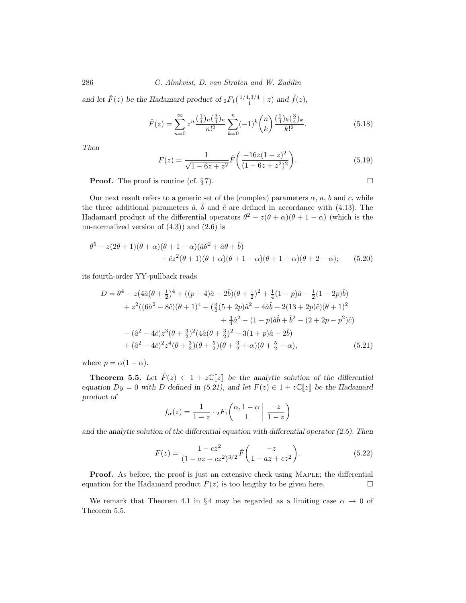286 G. Almkvist, D. van Straten and W. Zudilin

and let  $\hat{F}(z)$  be the Hadamard product of  ${}_2F_1\left(\frac{1}{4,3/4} \mid z\right)$  and  $\hat{f}(z)$ *,* 

$$
\hat{F}(z) = \sum_{n=0}^{\infty} z^n \frac{\left(\frac{1}{4}\right)_n \left(\frac{3}{4}\right)_n}{n!^2} \sum_{k=0}^n (-1)^k \binom{n}{k} \frac{\left(\frac{1}{4}\right)_k \left(\frac{3}{4}\right)_k}{k!^2}.
$$
\n(5.18)

*Then*

$$
F(z) = \frac{1}{\sqrt{1 - 6z + z^2}} \hat{F}\left(\frac{-16z(1 - z)^2}{(1 - 6z + z^2)^2}\right).
$$
 (5.19)

 $\Box$ 

**Proof.** The proof is routine (cf.  $\S 7$ ).

Our next result refers to a generic set of the (complex) parameters  $\alpha$ ,  $a$ ,  $b$  and  $c$ , while the three additional parameters  $\hat{a}$ ,  $\hat{b}$  and  $\hat{c}$  are defined in accordance with (4.13). The Hadamard product of the differential operators  $\theta^2 - z(\theta + \alpha)(\theta + 1 - \alpha)$  (which is the un-normalized version of  $(4.3)$  and  $(2.6)$  is

$$
\theta^5 - z(2\theta + 1)(\theta + \alpha)(\theta + 1 - \alpha)(\hat{a}\theta^2 + \hat{a}\theta + \hat{b})
$$
  
+ 
$$
\hat{c}z^2(\theta + 1)(\theta + \alpha)(\theta + 1 - \alpha)(\theta + 1 + \alpha)(\theta + 2 - \alpha);
$$
 (5.20)

its fourth-order YY-pullback reads

$$
D = \theta^4 - z(4\hat{a}(\theta + \frac{1}{2})^4 + ((p+4)\hat{a} - 2\hat{b})(\theta + \frac{1}{2})^2 + \frac{1}{4}(1-p)\hat{a} - \frac{1}{2}(1-2p)\hat{b})
$$
  
+  $z^2((6\hat{a}^2 - 8\hat{c})(\theta + 1)^4 + (\frac{3}{2}(5+2p)\hat{a}^2 - 4\hat{a}\hat{b} - 2(13+2p)\hat{c})(\theta + 1)^2$   
+  $\frac{3}{4}\hat{a}^2 - (1-p)\hat{a}\hat{b} + \hat{b}^2 - (2+2p-p^2)\hat{c})$   
-  $(\hat{a}^2 - 4\hat{c})z^3(\theta + \frac{3}{2})^2(4\hat{a}(\theta + \frac{3}{2})^2 + 3(1+p)\hat{a} - 2\hat{b})$   
+  $(\hat{a}^2 - 4\hat{c})^2z^4(\theta + \frac{3}{2})(\theta + \frac{5}{2})(\theta + \frac{3}{2} + \alpha)(\theta + \frac{5}{2} - \alpha),$  (5.21)

where  $p = \alpha(1 - \alpha)$ .

**Theorem 5.5.** *Let*  $\hat{F}(z) \in 1 + z\mathbb{C}[z]$  *be the analytic solution of the differential equation*  $Dy = 0$  *with* D *defined in* (5.21), and let  $F(z) \in 1 + z\mathbb{C}[z]$  be the Hadamard *product of*

$$
f_{\alpha}(z) = \frac{1}{1-z} \cdot {}_{2}F_{1}\left(\begin{array}{c} \alpha, 1-\alpha \\ 1 \end{array} \middle| \begin{array}{c} -z \\ 1-z \end{array}\right)
$$

*and the analytic solution of the differential equation with differential operator (2.5). Then*

$$
F(z) = \frac{1 - cz^2}{(1 - az + cz^2)^{3/2}} \hat{F}\left(\frac{-z}{1 - az + cz^2}\right).
$$
 (5.22)

**Proof.** As before, the proof is just an extensive check using MAPLE; the differential equation for the Hadamard product  $F(z)$  is too lengthy to be given here.  $\Box$ 

We remark that Theorem 4.1 in § 4 may be regarded as a limiting case  $\alpha \to 0$  of Theorem 5.5.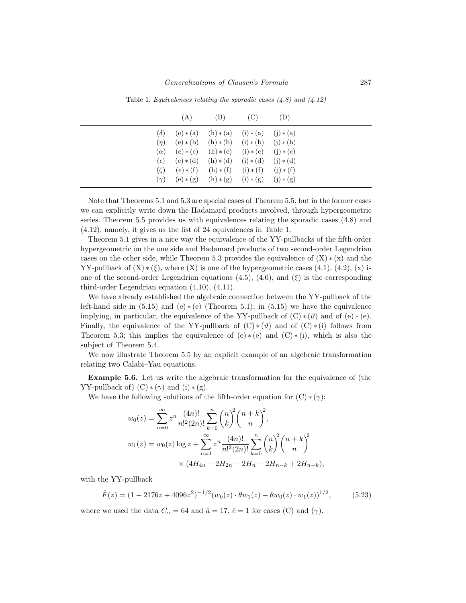|              | (A)         | (B)         | (C)         | (D)         |  |
|--------------|-------------|-------------|-------------|-------------|--|
| $(\delta)$   | $(e)*(a)$   | $(h)*(a)$   | $(i) * (a)$ | $(i) * (a)$ |  |
| $(\eta)$     | $(e)*(b)$   | $(h)*(b)$   | $(i)*(b)$   | $(i)*(b)$   |  |
| $(\alpha)$   | $(e) * (c)$ | $(h)*(c)$   | $(i) * (c)$ | $(j) * (c)$ |  |
| $(\epsilon)$ | $(e)*(d)$   | $(h)*(d)$   | $(i)*(d)$   | $(i) * (d)$ |  |
| $(\zeta)$    | $(e)*(f)$   | $(h) * (f)$ | $(i) * (f)$ | $(j) * (f)$ |  |
| $(\gamma)$   | $(e)*(g)$   | $(h)*(g)$   | $(i) * (g)$ | $(j) * (g)$ |  |

Table 1. Equivalences relating the sporadic cases  $(4.8)$  and  $(4.12)$ 

Note that Theorems 5.1 and 5.3 are special cases of Theorem 5.5, but in the former cases we can explicitly write down the Hadamard products involved, through hypergeometric series. Theorem 5.5 provides us with equivalences relating the sporadic cases (4.8) and (4.12), namely, it gives us the list of 24 equivalences in Table 1.

Theorem 5.1 gives in a nice way the equivalence of the YY-pullbacks of the fifth-order hypergeometric on the one side and Hadamard products of two second-order Legendrian cases on the other side, while Theorem 5.3 provides the equivalence of  $(X) * (x)$  and the YY-pullback of  $(X) * (\xi)$ , where  $(X)$  is one of the hypergeometric cases  $(4.1)$ ,  $(4.2)$ ,  $(x)$  is one of the second-order Legendrian equations (4.5), (4.6), and  $(\xi)$  is the corresponding third-order Legendrian equation (4.10), (4.11).

We have already established the algebraic connection between the YY-pullback of the left-hand side in  $(5.15)$  and  $(e)*(e)$  (Theorem 5.1); in  $(5.15)$  we have the equivalence implying, in particular, the equivalence of the YY-pullback of  $(C) * (\vartheta)$  and of  $(e) * (e)$ . Finally, the equivalence of the YY-pullback of  $(C) * (\vartheta)$  and of  $(C) * (i)$  follows from Theorem 5.3; this implies the equivalence of  $(e) * (e)$  and  $(C) * (i)$ , which is also the subject of Theorem 5.4.

We now illustrate Theorem 5.5 by an explicit example of an algebraic transformation relating two Calabi–Yau equations.

**Example 5.6.** Let us write the algebraic transformation for the equivalence of (the YY-pullback of)  $(C) * (\gamma)$  and  $(i) * (g)$ .

We have the following solutions of the fifth-order equation for  $(C) * (\gamma)$ :

$$
w_0(z) = \sum_{n=0}^{\infty} z^n \frac{(4n)!}{n!^2 (2n)!} \sum_{k=0}^n {n \choose k}^2 {n+k \choose n}^2,
$$
  

$$
w_1(z) = w_0(z) \log z + \sum_{n=1}^{\infty} z^n \frac{(4n)!}{n!^2 (2n)!} \sum_{k=0}^n {n \choose k}^2 {n+k \choose n}^2
$$
  

$$
\times (4H_{4n} - 2H_{2n} - 2H_n - 2H_{n-k} + 2H_{n+k}),
$$

with the YY-pullback

$$
\hat{F}(z) = (1 - 2176z + 4096z^2)^{-1/2}(w_0(z) \cdot \theta w_1(z) - \theta w_0(z) \cdot w_1(z))^{1/2},
$$
\n(5.23)

where we used the data  $C_{\alpha} = 64$  and  $\hat{a} = 17$ ,  $\hat{c} = 1$  for cases (C) and ( $\gamma$ ).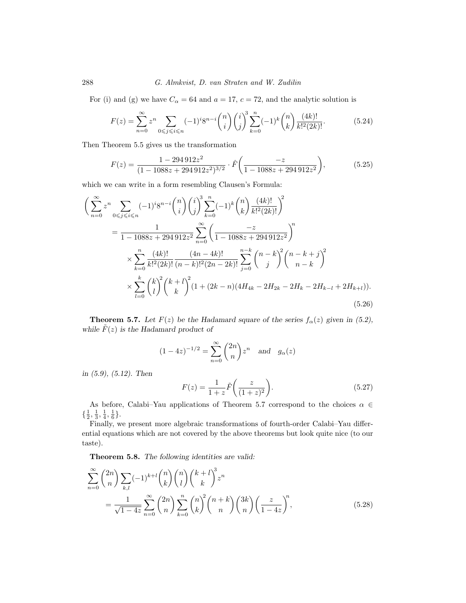For (i) and (g) we have  $C_{\alpha} = 64$  and  $a = 17, c = 72$ , and the analytic solution is

$$
F(z) = \sum_{n=0}^{\infty} z^n \sum_{0 \le j \le i \le n} (-1)^i 8^{n-i} \binom{n}{i} \binom{i}{j}^3 \sum_{k=0}^n (-1)^k \binom{n}{k} \frac{(4k)!}{k!^2 (2k)!}.
$$
 (5.24)

Then Theorem 5.5 gives us the transformation

$$
F(z) = \frac{1 - 294912z^2}{(1 - 1088z + 294912z^2)^{3/2}} \cdot \hat{F}\left(\frac{-z}{1 - 1088z + 294912z^2}\right),\tag{5.25}
$$

which we can write in a form resembling Clausen's Formula:

$$
\left(\sum_{n=0}^{\infty} z^n \sum_{0 \le j \le i \le n} (-1)^i 8^{n-i} \binom{n}{i} \binom{i}{j}^3 \sum_{k=0}^n (-1)^k \binom{n}{k} \frac{(4k)!}{k!^2 (2k)!} \right)^2
$$
  
= 
$$
\frac{1}{1 - 1088z + 294912z^2} \sum_{n=0}^{\infty} \left(\frac{-z}{1 - 1088z + 294912z^2}\right)^n
$$
  

$$
\times \sum_{k=0}^n \frac{(4k)!}{k!^2 (2k)!} \frac{(4n - 4k)!}{(n - k)!^2 (2n - 2k)!} \sum_{j=0}^{n-k} \binom{n - k}{j}^2 \binom{n - k + j}{n - k}^2
$$
  

$$
\times \sum_{l=0}^k \binom{k}{l}^2 \binom{k + l}{k}^2 (1 + (2k - n)(4H_{4k} - 2H_{2k} - 2H_{k} - 2H_{k-l} + 2H_{k+l})).
$$
  
(5.26)

**Theorem 5.7.** *Let*  $F(z)$  *be the Hadamard square of the series*  $f_\alpha(z)$  *given in* (5.2), while  $\tilde{F}(z)$  *is the Hadamard product of* 

$$
(1 - 4z)^{-1/2} = \sum_{n=0}^{\infty} {2n \choose n} z^n \text{ and } g_{\alpha}(z)
$$

*in (5.9), (5.12). Then*

$$
F(z) = \frac{1}{1+z}\tilde{F}\left(\frac{z}{(1+z)^2}\right).
$$
 (5.27)

As before, Calabi–Yau applications of Theorem 5.7 correspond to the choices  $\alpha \in$  $\{\frac{1}{2},\frac{1}{3},\frac{1}{4},\frac{1}{6}\}.$ 

Finally, we present more algebraic transformations of fourth-order Calabi–Yau differential equations which are not covered by the above theorems but look quite nice (to our taste).

**Theorem 5.8.** *The following identities are valid:*

$$
\sum_{n=0}^{\infty} {2n \choose n} \sum_{k,l} (-1)^{k+l} {n \choose k} {n \choose l} {k+l \choose k}^3 z^n
$$
  
= 
$$
\frac{1}{\sqrt{1-4z}} \sum_{n=0}^{\infty} {2n \choose n} \sum_{k=0}^n {n \choose k}^2 {n+k \choose n} {3k \choose n} \left(\frac{z}{1-4z}\right)^n,
$$
(5.28)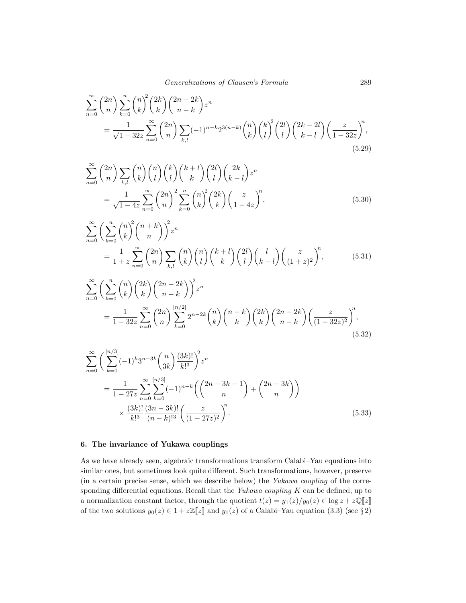$$
\sum_{n=0}^{\infty} {2n \choose n} \sum_{k=0}^{n} {n \choose k} {2k \choose k} {2n-2k \choose n-k} z^n
$$
  
= 
$$
\frac{1}{\sqrt{1-32z}} \sum_{n=0}^{\infty} {2n \choose n} \sum_{k,l} (-1)^{n-k} 2^{3(n-k)} {n \choose k} {k \choose l} {2l \choose l} {2k-2l \choose k-l} \left(\frac{z}{1-32z}\right)^n,
$$
(5.29)

$$
\sum_{n=0}^{\infty} {2n \choose n} \sum_{k,l} {n \choose k} {n \choose l} {k+l \choose k} {2l \choose l} {2k \choose k-l} z^n
$$
  
= 
$$
\frac{1}{\sqrt{1-4z}} \sum_{n=0}^{\infty} {2n \choose n}^2 \sum_{k=0}^{n} {n \choose k} {2k \choose k} \left(\frac{z}{1-4z}\right)^n,
$$
 (5.30)

$$
\sum_{n=0}^{\infty} \left( \sum_{k=0}^{n} {n \choose k}^2 {n+k \choose n} \right)^2 z^n
$$
  
= 
$$
\frac{1}{1+z} \sum_{n=0}^{\infty} {2n \choose n} \sum_{k,l} {n \choose k} {n \choose l} {k+l \choose k} {2l \choose l} {l \choose k-l} \left( \frac{z}{(1+z)^2} \right)^n,
$$
(5.31)

$$
\sum_{n=0}^{\infty} \left( \sum_{k=0}^{n} {n \choose k} {2k \choose k} {2n-2k \choose n-k} \right)^{2} z^{n}
$$
  
= 
$$
\frac{1}{1-32z} \sum_{n=0}^{\infty} {2n \choose n} \sum_{k=0}^{\lfloor n/2 \rfloor} 2^{n-2k} {n \choose k} {n-k \choose k} {2k \choose k} {2n-2k \choose n-k} \left( \frac{z}{(1-32z)^{2}} \right)^{n},
$$
(5.32)

$$
\sum_{n=0}^{\infty} \left( \sum_{k=0}^{[n/3]} (-1)^k 3^{n-3k} {n \choose 3k} \frac{(3k)!}{k!^3} \right)^2 z^n
$$
  
= 
$$
\frac{1}{1-27z} \sum_{n=0}^{\infty} \sum_{k=0}^{[n/3]} (-1)^{n-k} \left( {2n-3k-1 \choose n} + {2n-3k \choose n} \right)
$$
  

$$
\times \frac{(3k)!}{k!^3} \frac{(3n-3k)!}{(n-k)!^3} \left( \frac{z}{(1-27z)^2} \right)^n.
$$
 (5.33)

# **6. The invariance of Yukawa couplings**

As we have already seen, algebraic transformations transform Calabi–Yau equations into similar ones, but sometimes look quite different. Such transformations, however, preserve (in a certain precise sense, which we describe below) the Yukawa coupling of the corresponding differential equations. Recall that the Yukawa coupling  $K$  can be defined, up to a normalization constant factor, through the quotient  $t(z) = y_1(z)/y_0(z) \in \log z + z\mathbb{Q}[[z]]$ of the two solutions  $y_0(z) \in 1 + z\mathbb{Z}[\![z]\!]$  and  $y_1(z)$  of a Calabi–Yau equation (3.3) (see § 2)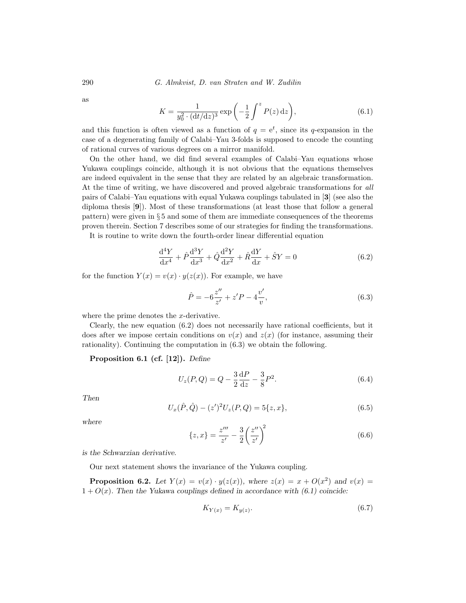290 G. Almkvist, D. van Straten and W. Zudilin

as

$$
K = \frac{1}{y_0^2 \cdot (\mathrm{d}t/\mathrm{d}z)^3} \exp\left(-\frac{1}{2} \int^z P(z) \,\mathrm{d}z\right),\tag{6.1}
$$

and this function is often viewed as a function of  $q = e^t$ , since its q-expansion in the case of a degenerating family of Calabi–Yau 3-folds is supposed to encode the counting of rational curves of various degrees on a mirror manifold.

On the other hand, we did find several examples of Calabi–Yau equations whose Yukawa couplings coincide, although it is not obvious that the equations themselves are indeed equivalent in the sense that they are related by an algebraic transformation. At the time of writing, we have discovered and proved algebraic transformations for all pairs of Calabi–Yau equations with equal Yukawa couplings tabulated in [**3**] (see also the diploma thesis [**9**]). Most of these transformations (at least those that follow a general pattern) were given in § 5 and some of them are immediate consequences of the theorems proven therein. Section 7 describes some of our strategies for finding the transformations. It is routine to write down the fourth-order linear differential equation

 $\frac{d^4Y}{dx^4} + \hat{P}\frac{d^3Y}{dx^3} + \hat{Q}\frac{d^2Y}{dx^2} + \hat{R}\frac{dY}{dx} + \hat{S}Y = 0$  (6.2)

for the function  $Y(x) = v(x) \cdot y(z(x))$ . For example, we have

$$
\hat{P} = -6\frac{z''}{z'} + z'P - 4\frac{v'}{v},\tag{6.3}
$$

where the prime denotes the x-derivative.

Clearly, the new equation (6.2) does not necessarily have rational coefficients, but it does after we impose certain conditions on  $v(x)$  and  $z(x)$  (for instance, assuming their rationality). Continuing the computation in (6.3) we obtain the following.

**Proposition 6.1 (cf. [12]).** *Define*

$$
U_z(P,Q) = Q - \frac{3}{2} \frac{dP}{dz} - \frac{3}{8} P^2.
$$
 (6.4)

*Then*

$$
U_x(\hat{P}, \hat{Q}) - (z')^2 U_z(P, Q) = 5\{z, x\},\tag{6.5}
$$

*where*

$$
\{z, x\} = \frac{z'''}{z'} - \frac{3}{2} \left(\frac{z''}{z'}\right)^2 \tag{6.6}
$$

*is the Schwarzian derivative.*

Our next statement shows the invariance of the Yukawa coupling.

**Proposition 6.2.** Let  $Y(x) = v(x) \cdot y(z(x))$ , where  $z(x) = x + O(x^2)$  and  $v(x) =$  $1 + O(x)$ *. Then the Yukawa couplings defined in accordance with (6.1) coincide:* 

$$
K_{Y(x)} = K_{y(z)}.\tag{6.7}
$$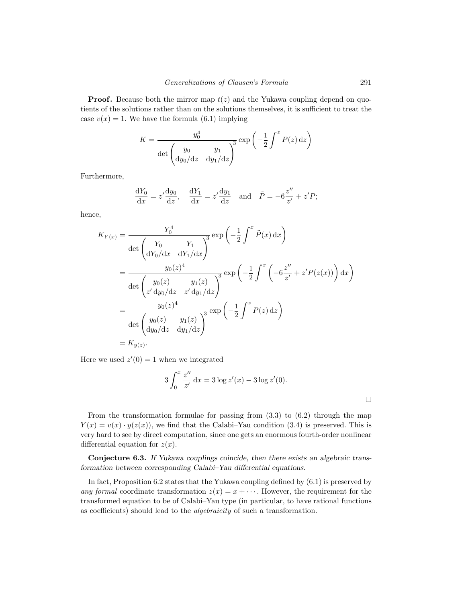**Proof.** Because both the mirror map  $t(z)$  and the Yukawa coupling depend on quotients of the solutions rather than on the solutions themselves, it is sufficient to treat the case  $v(x) = 1$ . We have the formula (6.1) implying

$$
K = \frac{y_0^4}{\det \begin{pmatrix} y_0 & y_1 \\ \mathrm{d}y_0/\mathrm{d}z & \mathrm{d}y_1/\mathrm{d}z \end{pmatrix}^3} \exp\left(-\frac{1}{2} \int^z P(z) \,\mathrm{d}z\right)
$$

Furthermore,

$$
\frac{dY_0}{dx} = z' \frac{dy_0}{dz}, \quad \frac{dY_1}{dx} = z' \frac{dy_1}{dz} \quad \text{and} \quad \tilde{P} = -6\frac{z''}{z'} + z'P;
$$

hence,

$$
K_{Y(x)} = \frac{Y_0^4}{\det \begin{pmatrix} Y_0 & Y_1 \\ dY_0/dx & dY_1/dx \end{pmatrix}^3} \exp \left(-\frac{1}{2} \int^x \tilde{P}(x) dx\right)
$$
  
= 
$$
\frac{y_0(z)^4}{\det \begin{pmatrix} y_0(z) & y_1(z) \\ z'dy_0/dz & z'dy_1/dz \end{pmatrix}^3} \exp \left(-\frac{1}{2} \int^x \left(-6\frac{z''}{z'} + z'P(z(x))\right) dx\right)
$$
  
= 
$$
\frac{y_0(z)^4}{\det \begin{pmatrix} y_0(z) & y_1(z) \\ dy_0/dz & dy_1/dz \end{pmatrix}^3} \exp \left(-\frac{1}{2} \int^z P(z) dz\right)
$$
  
= 
$$
K_{y(z)}.
$$

Here we used  $z'(0) = 1$  when we integrated

$$
3\int_0^x \frac{z''}{z'} dx = 3\log z'(x) - 3\log z'(0).
$$

From the transformation formulae for passing from  $(3.3)$  to  $(6.2)$  through the map  $Y(x) = v(x) \cdot y(z(x))$ , we find that the Calabi–Yau condition (3.4) is preserved. This is very hard to see by direct computation, since one gets an enormous fourth-order nonlinear differential equation for  $z(x)$ .

**Conjecture 6.3.** *If Yukawa couplings coincide, then there exists an algebraic transformation between corresponding Calabi–Yau differential equations.*

In fact, Proposition 6.2 states that the Yukawa coupling defined by (6.1) is preserved by any formal coordinate transformation  $z(x) = x + \cdots$ . However, the requirement for the transformed equation to be of Calabi–Yau type (in particular, to have rational functions as coefficients) should lead to the algebraicity of such a transformation.

 $\Box$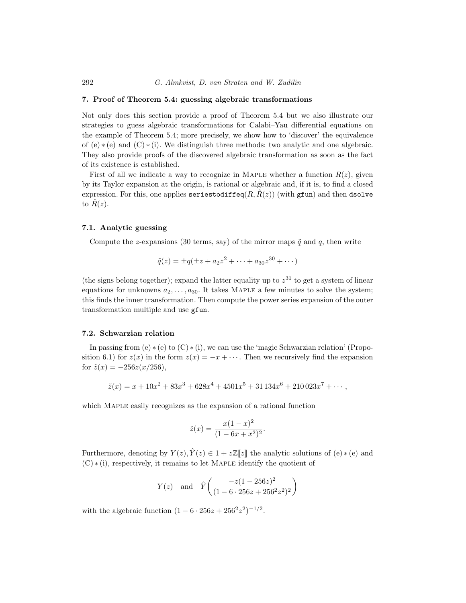### **7. Proof of Theorem 5.4: guessing algebraic transformations**

Not only does this section provide a proof of Theorem 5.4 but we also illustrate our strategies to guess algebraic transformations for Calabi–Yau differential equations on the example of Theorem 5.4; more precisely, we show how to 'discover' the equivalence of  $(e) * (e)$  and  $(C) * (i)$ . We distinguish three methods: two analytic and one algebraic. They also provide proofs of the discovered algebraic transformation as soon as the fact of its existence is established.

First of all we indicate a way to recognize in MAPLE whether a function  $R(z)$ , given by its Taylor expansion at the origin, is rational or algebraic and, if it is, to find a closed expression. For this, one applies seriestodiffeq $(R, \hat{R}(z))$  (with gfun) and then dsolve to  $R(z)$ .

# **7.1. Analytic guessing**

Compute the z-expansions (30 terms, say) of the mirror maps  $\tilde{q}$  and q, then write

$$
\tilde{q}(z) = \pm q(\pm z + a_2 z^2 + \dots + a_{30} z^{30} + \dots)
$$

(the signs belong together); expand the latter equality up to  $z^{31}$  to get a system of linear equations for unknowns  $a_2, \ldots, a_{30}$ . It takes MAPLE a few minutes to solve the system; this finds the inner transformation. Then compute the power series expansion of the outer transformation multiple and use gfun.

#### **7.2. Schwarzian relation**

In passing from (e)  $\ast$  (e) to (C)  $\ast$  (i), we can use the 'magic Schwarzian relation' (Proposition 6.1) for  $z(x)$  in the form  $z(x) = -x + \cdots$ . Then we recursively find the expansion for  $\tilde{z}(x) = -256z(x/256)$ ,

$$
\tilde{z}(x) = x + 10x^2 + 83x^3 + 628x^4 + 4501x^5 + 31134x^6 + 210023x^7 + \cdots,
$$

which Maple easily recognizes as the expansion of a rational function

$$
\tilde{z}(x) = \frac{x(1-x)^2}{(1-6x+x^2)^2}.
$$

Furthermore, denoting by  $Y(z)$ ,  $\hat{Y}(z) \in 1 + z\mathbb{Z}[\![z]\!]$  the analytic solutions of (e)  $*(e)$  and (C) ∗ (i), respectively, it remains to let Maple identify the quotient of

$$
Y(z)
$$
 and  $\hat{Y}\left(\frac{-z(1-256z)^2}{(1-6\cdot 256z+256^2z^2)^2}\right)$ 

with the algebraic function  $(1 - 6 \cdot 256z + 256^2z^2)^{-1/2}$ .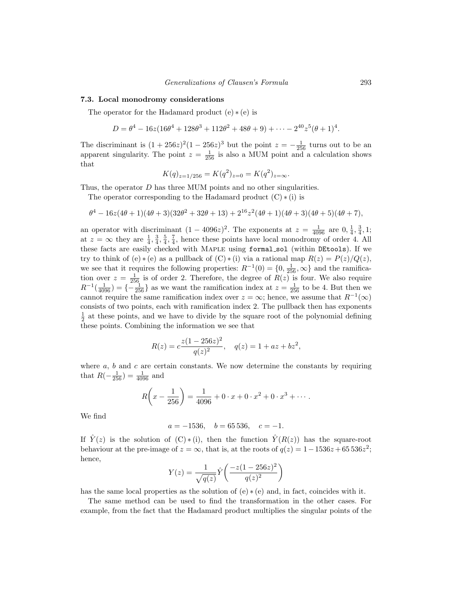### **7.3. Local monodromy considerations**

The operator for the Hadamard product  $(e) * (e)$  is

$$
D = \theta^4 - 16z(16\theta^4 + 128\theta^3 + 112\theta^2 + 48\theta + 9) + \cdots - 2^{40}z^5(\theta + 1)^4.
$$

The discriminant is  $(1 + 256z)^2(1 - 256z)^3$  but the point  $z = -\frac{1}{256}$  turns out to be an apparent singularity. The point  $z = \frac{1}{256}$  is also a MUM point and a calculation shows that

$$
K(q)_{z=1/256} = K(q^2)_{z=0} = K(q^2)_{z=\infty}.
$$

Thus, the operator  $D$  has three MUM points and no other singularities.

The operator corresponding to the Hadamard product  $(C) * (i)$  is

$$
\theta^4 - 16z(4\theta + 1)(4\theta + 3)(32\theta^2 + 32\theta + 13) + 2^{16}z^2(4\theta + 1)(4\theta + 3)(4\theta + 5)(4\theta + 7),
$$

an operator with discriminant  $(1 - 4096z)^2$ . The exponents at  $z = \frac{1}{4096}$  are  $(0, \frac{1}{4}, \frac{3}{4}, 1;$ at  $z = \infty$  they are  $\frac{1}{4}$ ,  $\frac{3}{4}$ ,  $\frac{5}{4}$ ,  $\frac{7}{4}$ , hence these points have local monodromy of order 4. All these facts are easily checked with MAPLE using formal\_sol (within DEtools). If we try to think of (e)  $*(e)$  as a pullback of  $(C) * (i)$  via a rational map  $R(z) = P(z)/Q(z)$ , we see that it requires the following properties:  $R^{-1}(0) = \{0, \frac{1}{256}, \infty\}$  and the ramification over  $z = \frac{1}{256}$  is of order 2. Therefore, the degree of  $R(z)$  is four. We also require  $R^{-1}(\frac{1}{4096}) = \{-\frac{1}{256}\}\$ as we want the ramification index at  $z = \frac{1}{256}$  to be 4. But then we cannot require the same ramification index over  $z = \infty$ ; hence, we assume that  $R^{-1}(\infty)$ consists of two points, each with ramification index 2. The pullback then has exponents  $\frac{1}{2}$  at these points, and we have to divide by the square root of the polynomial defining these points. Combining the information we see that

$$
R(z) = c \frac{z(1 - 256z)^2}{q(z)^2}, \quad q(z) = 1 + az + bz^2,
$$

where  $a, b$  and  $c$  are certain constants. We now determine the constants by requiring that  $R(-\frac{1}{256}) = \frac{1}{4096}$  and

$$
R\left(x - \frac{1}{256}\right) = \frac{1}{4096} + 0 \cdot x + 0 \cdot x^2 + 0 \cdot x^3 + \cdots
$$

We find

$$
a = -1536, \quad b = 65\,536, \quad c = -1.
$$

If  $\hat{Y}(z)$  is the solution of  $(C) * (i)$ , then the function  $\hat{Y}(R(z))$  has the square-root behaviour at the pre-image of  $z = \infty$ , that is, at the roots of  $q(z) = 1-1536z +65536z^2$ ; hence,

$$
Y(z) = \frac{1}{\sqrt{q(z)}} \hat{Y}\left(\frac{-z(1-256z)^2}{q(z)^2}\right)
$$

has the same local properties as the solution of  $(e) * (e)$  and, in fact, coincides with it.

The same method can be used to find the transformation in the other cases. For example, from the fact that the Hadamard product multiplies the singular points of the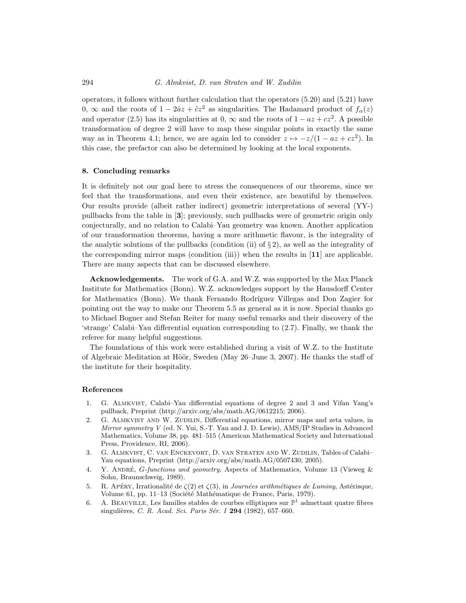operators, it follows without further calculation that the operators (5.20) and (5.21) have 0,  $\infty$  and the roots of  $1 - 2\hat{a}z + \hat{c}z^2$  as singularities. The Hadamard product of  $f_{\alpha}(z)$ and operator (2.5) has its singularities at 0,  $\infty$  and the roots of  $1 - az + cz^2$ . A possible transformation of degree 2 will have to map these singular points in exactly the same way as in Theorem 4.1; hence, we are again led to consider  $z \mapsto -z/(1 - az + cz^2)$ . In this case, the prefactor can also be determined by looking at the local exponents.

### **8. Concluding remarks**

It is definitely not our goal here to stress the consequences of our theorems, since we feel that the transformations, and even their existence, are beautiful by themselves. Our results provide (albeit rather indirect) geometric interpretations of several (YY-) pullbacks from the table in [**3**]; previously, such pullbacks were of geometric origin only conjecturally, and no relation to Calabi–Yau geometry was known. Another application of our transformation theorems, having a more arithmetic flavour, is the integrality of the analytic solutions of the pullbacks (condition (ii) of  $\S 2$ ), as well as the integrality of the corresponding mirror maps (condition (iii)) when the results in [**11**] are applicable. There are many aspects that can be discussed elsewhere.

**Acknowledgements.** The work of G.A. and W.Z. was supported by the Max Planck Institute for Mathematics (Bonn). W.Z. acknowledges support by the Hausdorff Center for Mathematics (Bonn). We thank Fernando Rodríguez Villegas and Don Zagier for pointing out the way to make our Theorem 5.5 as general as it is now. Special thanks go to Michael Bogner and Stefan Reiter for many useful remarks and their discovery of the 'strange' Calabi–Yau differential equation corresponding to (2.7). Finally, we thank the referee for many helpful suggestions.

The foundations of this work were established during a visit of W.Z. to the Institute of Algebraic Meditation at Höör, Sweden (May 26–June 3, 2007). He thanks the staff of the institute for their hospitality.

### **References**

- 1. G. Almkvist, Calabi–Yau differential equations of degree 2 and 3 and Yifan Yang's pullback, Preprint (http://arxiv.org/abs/math.AG/0612215; 2006).
- 2. G. ALMKVIST AND W. ZUDILIN, Differential equations, mirror maps and zeta values, in Mirror symmetry V (ed. N. Yui, S.-T. Yau and J. D. Lewis), AMS/IP Studies in Advanced Mathematics, Volume 38, pp. 481–515 (American Mathematical Society and International Press, Providence, RI, 2006).
- 3. G. Almkvist, C. van Enckevort, D. van Straten and W. Zudilin, Tables of Calabi– Yau equations, Preprint (http://arxiv.org/abs/math.AG/0507430; 2005).
- 4. Y. ANDRÉ, G-functions and geometry, Aspects of Mathematics, Volume 13 (Vieweg & Sohn, Braunschweig, 1989).
- 5. R. Apéry, Irrationalité de  $\zeta(2)$  et  $\zeta(3)$ , in *Journées arithmétiques de Luminy*, Astérisque, Volume 61, pp. 11–13 (Société Mathématique de France, Paris, 1979).
- 6. A. BEAUVILLE, Les familles stables de courbes elliptiques sur  $\mathbb{P}^1$  admettant quatre fibres singulières, C. R. Acad. Sci. Paris Sér. I **294** (1982), 657-660.